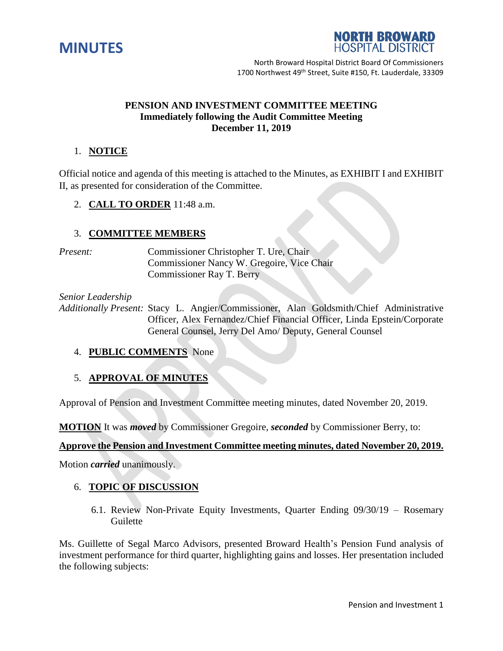



North Broward Hospital District Board Of Commissioners 1700 Northwest 49<sup>th</sup> Street, Suite #150, Ft. Lauderdale, 33309

#### **PENSION AND INVESTMENT COMMITTEE MEETING Immediately following the Audit Committee Meeting December 11, 2019**

# 1. **NOTICE**

Official notice and agenda of this meeting is attached to the Minutes, as EXHIBIT I and EXHIBIT II, as presented for consideration of the Committee.

2. **CALL TO ORDER** 11:48 a.m.

## 3. **COMMITTEE MEMBERS**

*Present:* Commissioner Christopher T. Ure, Chair Commissioner Nancy W. Gregoire, Vice Chair Commissioner Ray T. Berry

#### *Senior Leadership*

*Additionally Present:* Stacy L. Angier/Commissioner, Alan Goldsmith/Chief Administrative Officer, Alex Fernandez/Chief Financial Officer, Linda Epstein/Corporate General Counsel, Jerry Del Amo/ Deputy, General Counsel

## 4. **PUBLIC COMMENTS** None

## 5. **APPROVAL OF MINUTES**

Approval of Pension and Investment Committee meeting minutes, dated November 20, 2019.

**MOTION** It was *moved* by Commissioner Gregoire, *seconded* by Commissioner Berry, to:

## **Approve the Pension and Investment Committee meeting minutes, dated November 20, 2019.**

Motion *carried* unanimously.

## 6. **TOPIC OF DISCUSSION**

6.1. Review Non-Private Equity Investments, Quarter Ending 09/30/19 – Rosemary Guilette

Ms. Guillette of Segal Marco Advisors, presented Broward Health's Pension Fund analysis of investment performance for third quarter, highlighting gains and losses. Her presentation included the following subjects: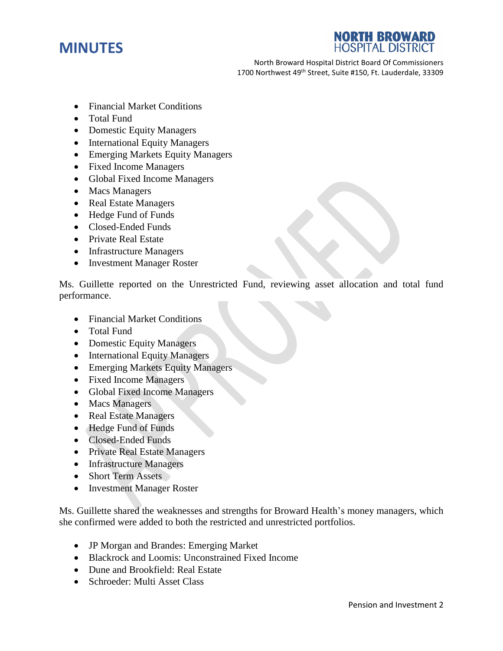

**NORTH BROWARD HOSPITAL DISTRICT** 

North Broward Hospital District Board Of Commissioners 1700 Northwest 49<sup>th</sup> Street, Suite #150, Ft. Lauderdale, 33309

- Financial Market Conditions
- Total Fund
- Domestic Equity Managers
- International Equity Managers
- Emerging Markets Equity Managers
- Fixed Income Managers
- Global Fixed Income Managers
- Macs Managers
- Real Estate Managers
- Hedge Fund of Funds
- Closed-Ended Funds
- Private Real Estate
- Infrastructure Managers
- Investment Manager Roster

Ms. Guillette reported on the Unrestricted Fund, reviewing asset allocation and total fund performance.

- Financial Market Conditions
- Total Fund
- Domestic Equity Managers
- International Equity Managers
- Emerging Markets Equity Managers
- Fixed Income Managers
- Global Fixed Income Managers
- Macs Managers
- Real Estate Managers
- Hedge Fund of Funds
- Closed-Ended Funds
- Private Real Estate Managers
- Infrastructure Managers
- Short Term Assets
- Investment Manager Roster

Ms. Guillette shared the weaknesses and strengths for Broward Health's money managers, which she confirmed were added to both the restricted and unrestricted portfolios.

- JP Morgan and Brandes: Emerging Market
- Blackrock and Loomis: Unconstrained Fixed Income
- Dune and Brookfield: Real Estate
- Schroeder: Multi Asset Class